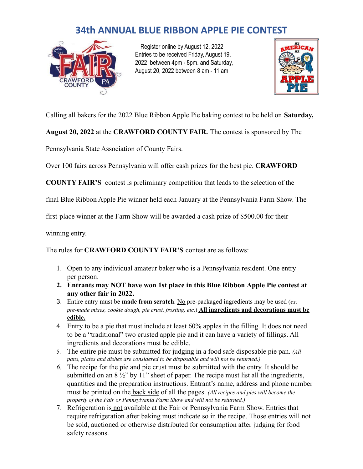## **34th ANNUAL BLUE RIBBON APPLE PIE CONTEST**



Register online by August 12, 2022 Entries to be received Friday, August 19, 2022 between 4pm - 8pm. and Saturday, August 20, 2022 between 8 am - 11 am



Calling all bakers for the 2022 Blue Ribbon Apple Pie baking contest to be held on **Saturday,**

**August 20, 2022** at the **CRAWFORD COUNTY FAIR.** The contest is sponsored by The

Pennsylvania State Association of County Fairs.

Over 100 fairs across Pennsylvania will offer cash prizes for the best pie. **CRAWFORD**

**COUNTY FAIR'S** contest is preliminary competition that leads to the selection of the

final Blue Ribbon Apple Pie winner held each January at the Pennsylvania Farm Show. The

first-place winner at the Farm Show will be awarded a cash prize of \$500.00 for their

winning entry.

The rules for **CRAWFORD COUNTY FAIR'S** contest are as follows:

- 1. Open to any individual amateur baker who is a Pennsylvania resident. One entry per person.
- **2. Entrants may NOT have won 1st place in this Blue Ribbon Apple Pie contest at any other fair in 2022.**
- 3. Entire entry must be **made from scratch**. No pre-packaged ingredients may be used (*ex: pre-made mixes, cookie dough, pie crust, frosting, etc.*) **All ingredients and decorations must be edible.**
- 4. Entry to be a pie that must include at least 60% apples in the filling. It does not need to be a "traditional" two crusted apple pie and it can have a variety of fillings. All ingredients and decorations must be edible.
- 5. The entire pie must be submitted for judging in a food safe disposable pie pan. *(All pans, plates and dishes are considered to be disposable and will not be returned.)*
- *6.* The recipe for the pie and pie crust must be submitted with the entry. It should be submitted on an  $8\frac{1}{2}$ " by 11" sheet of paper. The recipe must list all the ingredients, quantities and the preparation instructions. Entrant's name, address and phone number must be printed on the back side of all the pages. *(All recipes and pies will become the property of the Fair or Pennsylvania Farm Show and will not be returned.)*
- 7. Refrigeration is not available at the Fair or Pennsylvania Farm Show. Entries that require refrigeration after baking must indicate so in the recipe. Those entries will not be sold, auctioned or otherwise distributed for consumption after judging for food safety reasons.